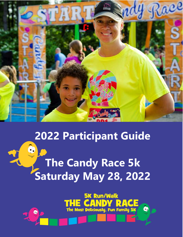

## **2022 Participant Guide**

# $\ddot{\bullet}$ **The Candy Race 5k Saturday May 28, 2022**

**5K Run/Walk** 

The Most Deliciously, Fun Family 5K

Ò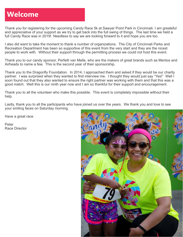#### **Welcome**

Thank you for registering for the upcoming Candy Race 5k at Sawyer Point Park in Cincinnati. I am greateful and appreciative of your support as we try to get back into the full swing of things. The last time we held a full Candy Race was in 2019! Needless to say we are looking forward to it and hope you are too.

I also did want to take the moment to thank a number of organizations. The City of Cincinnati Parks and Recreation Department has been so supportive of this event from the very start and they are the nicest people to work with. Without their support through the permitting process we could not host this event.

Thank you to our candy sponsor, Perfetti van Melle, who are the makers of great brands such as Mentos and Airheads to name a few. This is the second year of their sponsorship.

Thank you to the Dragonfly Foundation. In 2014, I approached them and asked if they would be our charity partner. I was surprised when they wanted to first interview me. I thought they would just say "Yes!" Well I soon found out that they also wanted to ensure the right partner was working with them and that this was a good match. Well this is our ninth year now and I am so thankful for their support and encouragement.

Thank you to all the volunteer who make this possible. This event is completely impossible without their help.

Lastly, thank you to all the participants who have joined us over the years. We thank you and love to see your smiling faces on Saturday morning.

Have a great race

Peter Race Director

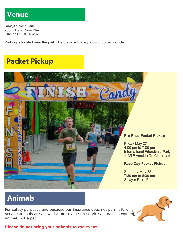#### **Venue**

Sawyer Point Park 705 E Pete Rose Way Cincinnati, OH 45202

Parking is located near the park. Be prepared to pay around \$5 per vehicle.

## **Packet Pickup**



### **Animals**

For safety purposes and because our insurance does not permit it, only service animals are allowed at our events. A service animal is a working animal, not a pet.

**Please do not bring your animals to the event.** 

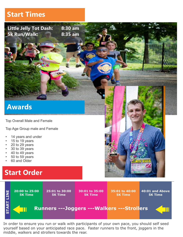#### **Start Times**

**Little Jelly Tot Dash: 8:30 am 5k Run/Walk: 8:35 am**

#### **Awards**

Top Overall Male and Female

Top Age Group male and Female

- 14 years and under
- 15 to 19 years
- 20 to 29 years
- 30 to 39 years
- 40 to 49 years
- 50 to 59 years
- 60 and Older

#### **Start Order**



In order to ensure you run or walk with participants of your own pace, you should self seed yourself based on your anticipated race pace. Faster runners to the front, joggers in the middle, walkers and strollers towards the rear.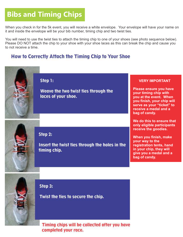## **Bibs and Timing Chips**

When you check in for the 5k event, you will receive a white envelope. Your envelope will have your name on it and inside the envelope will be your bib number, timing chip and two twist ties.

You will need to use the twist ties to attach the timing chip to one of your shoes (see photo sequence below). Please DO NOT attach the chip to your shoe with your shoe laces as this can break the chip and cause you to not receive a time.

#### **How to Correctly Attach the Timing Chip to Your Shoe**



Step 1:

Weave the two twist ties through the laces of your shoe.



#### Step 2:

Insert the twist ties through the holes in the timing chip.

#### **VERY IMPORTANT**

**Please ensure you have your timing chip with you at the event. When you finish, your chip will serve as your "ticket" to receive a medal and a bag of candy.** 

**We do this to ensure that only eligible participants receive the goodies.**

**When you finish, make your way to the registration tents, hand in your chip, they will give you a medal and a bag of candy.**



Step 3:

Twist the ties to secure the chip.

Timing chips will be collected after you have completed your race.